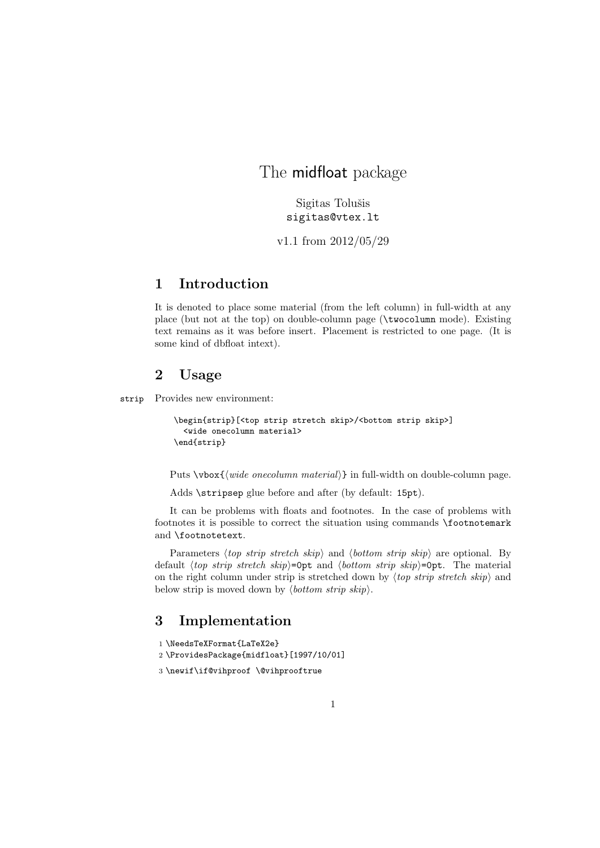# The midfloat package

Sigitas Tolušis sigitas@vtex.lt

v1.1 from 2012/05/29

## 1 Introduction

It is denoted to place some material (from the left column) in full-width at any place (but not at the top) on double-column page (\twocolumn mode). Existing text remains as it was before insert. Placement is restricted to one page. (It is some kind of dbfloat intext).

# 2 Usage

strip Provides new environment:

```
\begin{strip}[<top strip stretch skip>/<bottom strip skip>]
  <wide onecolumn material>
\end{strip}
```
Puts \vbox{ $\{widewidehat{m} \mathit{mecolum} \mathit{material}\}$  in full-width on double-column page.

Adds \stripsep glue before and after (by default: 15pt).

It can be problems with floats and footnotes. In the case of problems with footnotes it is possible to correct the situation using commands \footnotemark and \footnotetext.

Parameters (top strip stretch skip) and (bottom strip skip) are optional. By default (top strip stretch skip)=0pt and (bottom strip skip)=0pt. The material on the right column under strip is stretched down by  $\langle top \text{ strip} \text{ stretch} \text{ skip} \rangle$  and below strip is moved down by  $\langle bottom \ strip \ skip \rangle$ .

### 3 Implementation

```
1 \NeedsTeXFormat{LaTeX2e}
2 \ProvidesPackage{midfloat}[1997/10/01]
```

```
3 \newif\if@vihproof \@vihprooftrue
```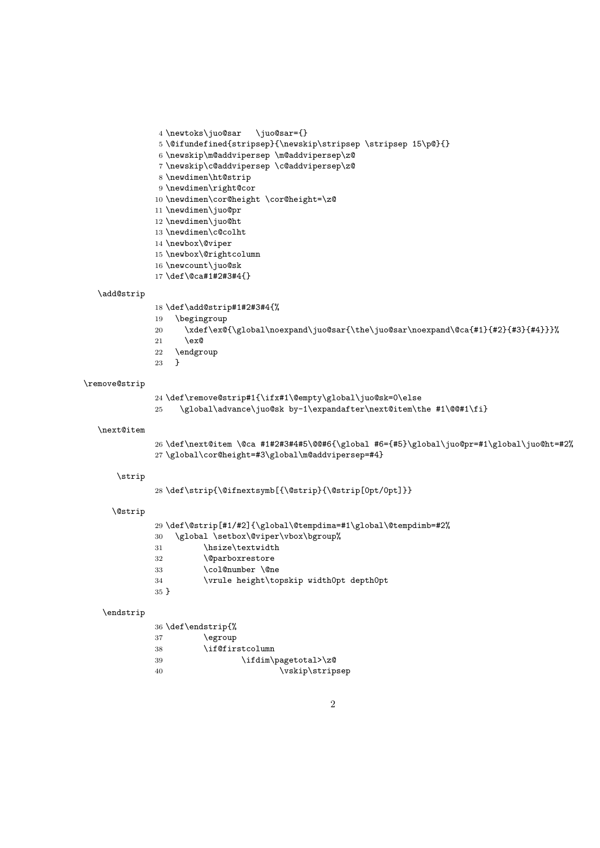\def\strip{\@ifnextsymb[{\@strip}{\@strip[0pt/0pt]}} \def\@strip[#1/#2]{\global\@tempdima=#1\global\@tempdimb=#2% \global \setbox\@viper\vbox\bgroup% 31 \hsize\textwidth

\global\cor@height=#3\global\m@addvipersep=#4}

\def\remove@strip#1{\ifx#1\@empty\global\juo@sk=0\else

\global\advance\juo@sk by-1\expandafter\next@item\the #1\@@#1\fi}

\newtoks\juo@sar \juo@sar={}

 \newdimen\ht@strip \newdimen\right@cor

\def\add@strip#1#2#3#4{%

\begingroup

21  $\text{lex} \mathbb{Q}$ \endgroup

}

 \newdimen\juo@pr \newdimen\juo@ht \newdimen\c@colht \newbox\@viper \newbox\@rightcolumn \newcount\juo@sk \def\@ca#1#2#3#4{}

 \newskip\m@addvipersep \m@addvipersep\z@ \newskip\c@addvipersep \c@addvipersep\z@

\newdimen\cor@height \cor@height=\z@

\@ifundefined{stripsep}{\newskip\stripsep \stripsep 15\p@}{}

\xdef\ex@{\global\noexpand\juo@sar{\the\juo@sar\noexpand\@ca{#1}{#2}{#3}{#4}}}%

 $26 \def\nexthtt{*}{{\small 26}}\td{thext@item} \@ca #1#2#3#4#5\@0#6{} \gls{#5}{\gl obal}\juo@pr=#1\global}\juo@ht=#2\%$ 

```
32 \@parboxrestore
```

```
33 \col@number \@ne<br>34 \vrule height\to
             34 \vrule height\topskip width0pt depth0pt
```

```
35 }
```
### \endstrip

\add@strip

\remove@strip

\next@item

\strip

\@strip

|    | 36 \def\endstrip{%   |
|----|----------------------|
| 37 | \egroup              |
| 38 | \if@firstcolumn      |
| 39 | \ifdim\pagetotal>\z@ |
| 40 | \vskip\stripsep      |
|    |                      |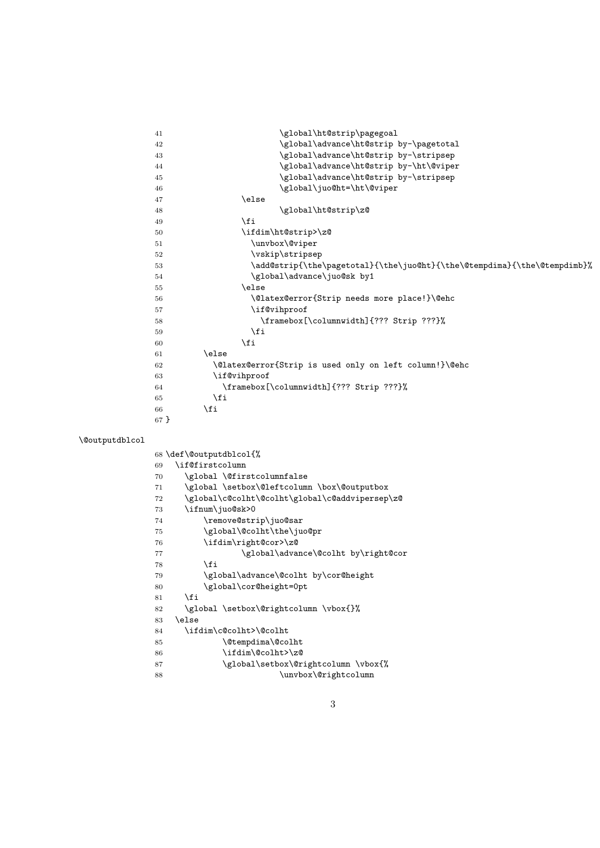41 \global\ht@strip\pagegoal 42 \global\advance\ht@strip by-\pagetotal 43 \global\advance\ht@strip by-\stripsep 44 \global\advance\ht@strip by-\ht\@viper 45 \global\advance\ht@strip by-\stripsep 46 \global\juo@ht=\ht\@viper 47 \else 48 \global\ht@strip\z@  $49 \overline{})$  \fi 50 \ifdim\ht@strip>\z@ 51 \unvbox\@viper 52 \vskip\stripsep 53 \add@strip{\the\pagetotal}{\the\juo@ht}{\the\@tempdima}{\the\@tempdimb}% 54 \global\advance\juo@sk by1 55 \else 56 \@latex@error{Strip needs more place!}\@ehc 57 \if@vihproof 58 \framebox[\columnwidth]{??? Strip ???}%  $59 \qquad \qquad \text{if}$  $60 \quad \text{If}$ 61 \else 62 \@latex@error{Strip is used only on left column!}\@ehc 63 \if@vihproof 64 \framebox[\columnwidth]{??? Strip ???}% 65  $\qquad \qquad \int f$ i 66  $\qquad \qquad \Delta$ 67 } \@outputdblcol 68 \def\@outputdblcol{% 69 \if@firstcolumn 70 \global \@firstcolumnfalse 71 \global \setbox\@leftcolumn \box\@outputbox 72 \global\c@colht\@colht\global\c@addvipersep\z@ 73 \ifnum\juo@sk>0 74 \remove@strip\juo@sar 75 \global\@colht\the\juo@pr 76 \ifdim\right@cor>\z@ 77 \global\advance\@colht by\right@cor  $78$  \fi 79 \global\advance\@colht by\cor@height 80 \global\cor@height=0pt  $81$  \fi 82 \global \setbox\@rightcolumn \vbox{}%  $83$  \else 84 \ifdim\c@colht>\@colht 85 \@tempdima\@colht 86 \ifdim\@colht>\z@

87 \global\setbox\@rightcolumn \vbox{% 88 \unvbox\@rightcolumn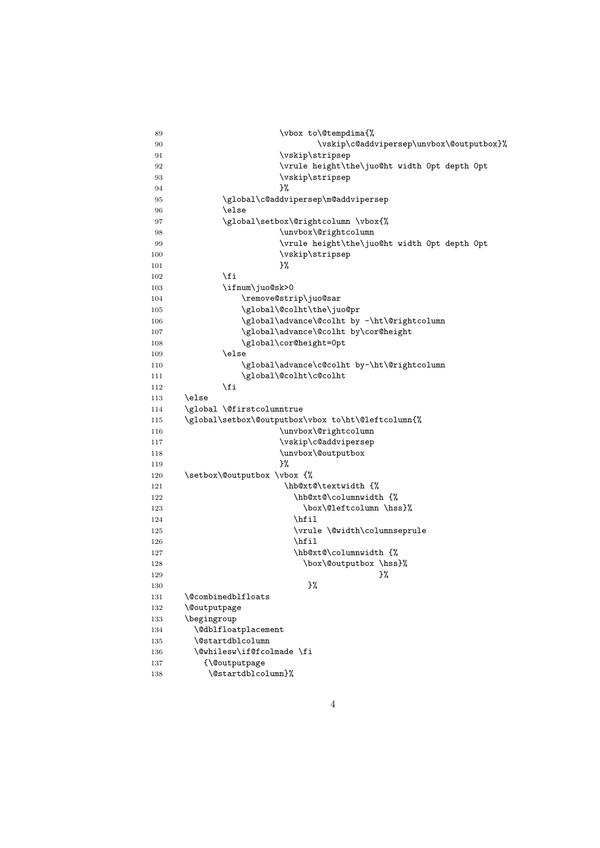| 89         | \vbox to\@tempdima{%                               |
|------------|----------------------------------------------------|
| 90         | \vskip\c@addvipersep\unvbox\@outputbox}%           |
| 91         | \vskip\stripsep                                    |
| 92         | \vrule height\the\juo@ht width Opt depth Opt       |
| 93         | \vskip\stripsep                                    |
| 94         | }%                                                 |
| 95         | \global\c@addvipersep\m@addvipersep                |
| 96         | \else                                              |
| 97         | \global\setbox\@rightcolumn \vbox{%                |
| 98         | \unvbox\@rightcolumn                               |
| 99         | \vrule height\the\juo@ht width Opt depth Opt       |
| 100        | \vskip\stripsep                                    |
| 101        | }%                                                 |
| 102        | \fi                                                |
| 103        | \ifnum\juo@sk>0                                    |
| 104        | \remove@strip\juo@sar                              |
| 105        | \global\@colht\the\juo@pr                          |
| 106        | \global\advance\@colht by -\ht\@rightcolumn        |
| 107        | \global\advance\@colht by\cor@height               |
| 108        | \global\cor@height=0pt                             |
| 109        | \else                                              |
| 110        | \global\advance\c@colht by-\ht\@rightcolumn        |
| 111        | \global\@colht\c@colht                             |
| 112        | \fi                                                |
| 113        | \else                                              |
| 114        | \global \@firstcolumntrue                          |
| 115        | \global\setbox\@outputbox\vbox to\ht\@leftcolumn{% |
| 116        | \unvbox\@rightcolumn                               |
| 117        | \vskip\c@addvipersep                               |
| 118        | \unvbox\@outputbox                                 |
| 119        | Y.                                                 |
| 120        | \setbox\@outputbox \vbox {%                        |
| 121        | \hb@xt@\textwidth {%                               |
| 122        | \hb@xt@\columnwidth {%                             |
| 123        | \box\@leftcolumn\hss}%                             |
| 124        | \hfil                                              |
| 125        | \vrule \@width\columnseprule                       |
| 126        | \hfil                                              |
| 127        | \hb@xt@\columnwidth {%                             |
| 128        | \box\@outputbox \hss}%                             |
| 129        | }%<br>}‰                                           |
| 130        | \@combinedblfloats                                 |
| 131        |                                                    |
| 132        | <i><u><b>Noutputpage</b></u></i><br>\begingroup    |
| 133        | \@dblfloatplacement                                |
| 134<br>135 | \@startdblcolumn                                   |
| 136        | \@whilesw\if@fcolmade \fi                          |
| 137        | {\@outputpage                                      |
| 138        | \@startdblcolumn}%                                 |
|            |                                                    |